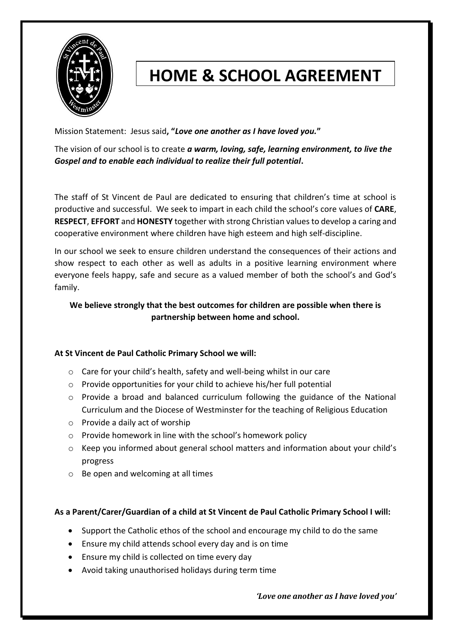

# **HOME & SCHOOL AGREEMENT**

Mission Statement: Jesus said**, "***Love one another as I have loved you.***"**

The vision of our school is to create *a warm, loving, safe, learning environment, to live the Gospel and to enable each individual to realize their full potential***.**

The staff of St Vincent de Paul are dedicated to ensuring that children's time at school is productive and successful. We seek to impart in each child the school's core values of **CARE**, **RESPECT**, **EFFORT** and **HONESTY** together with strong Christian values to develop a caring and cooperative environment where children have high esteem and high self-discipline.

In our school we seek to ensure children understand the consequences of their actions and show respect to each other as well as adults in a positive learning environment where everyone feels happy, safe and secure as a valued member of both the school's and God's family.

## **We believe strongly that the best outcomes for children are possible when there is partnership between home and school.**

## **At St Vincent de Paul Catholic Primary School we will:**

- $\circ$  Care for your child's health, safety and well-being whilst in our care
- o Provide opportunities for your child to achieve his/her full potential
- o Provide a broad and balanced curriculum following the guidance of the National Curriculum and the Diocese of Westminster for the teaching of Religious Education
- o Provide a daily act of worship
- o Provide homework in line with the school's homework policy
- $\circ$  Keep you informed about general school matters and information about your child's progress
- o Be open and welcoming at all times

### **As a Parent/Carer/Guardian of a child at St Vincent de Paul Catholic Primary School I will:**

- Support the Catholic ethos of the school and encourage my child to do the same
- Ensure my child attends school every day and is on time
- Ensure my child is collected on time every day
- Avoid taking unauthorised holidays during term time

*'Love one another as I have loved you'*